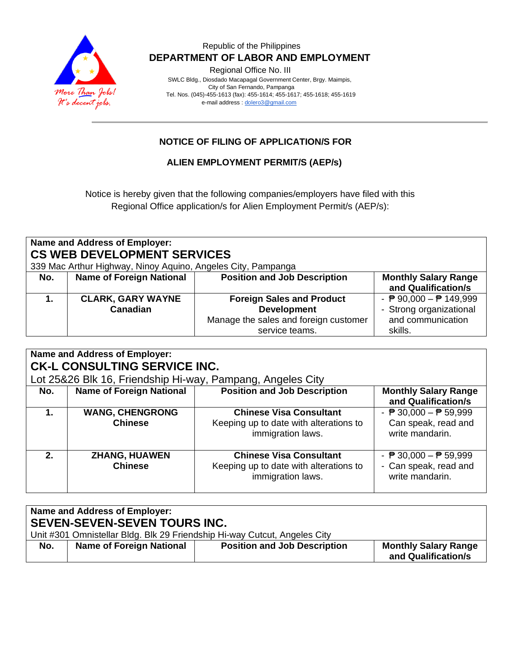

# Republic of the Philippines  **DEPARTMENT OF LABOR AND EMPLOYMENT**

Regional Office No. III

 SWLC Bldg., Diosdado Macapagal Government Center, Brgy. Maimpis, City of San Fernando, Pampanga Tel. Nos. (045)-455-1613 (fax): 455-1614; 455-1617; 455-1618; 455-1619 e-mail address [: dolero3@gmail.com](mailto:dolero3@gmail.com)

# **NOTICE OF FILING OF APPLICATION/S FOR**

**ALIEN EMPLOYMENT PERMIT/S (AEP/s)**

Notice is hereby given that the following companies/employers have filed with this Regional Office application/s for Alien Employment Permit/s (AEP/s):

| Name and Address of Employer:<br><b>CS WEB DEVELOPMENT SERVICES</b><br>339 Mac Arthur Highway, Ninoy Aquino, Angeles City, Pampanga |                                 |                                       |                                                  |  |
|-------------------------------------------------------------------------------------------------------------------------------------|---------------------------------|---------------------------------------|--------------------------------------------------|--|
| No.                                                                                                                                 | <b>Name of Foreign National</b> | <b>Position and Job Description</b>   | <b>Monthly Salary Range</b>                      |  |
|                                                                                                                                     |                                 |                                       | and Qualification/s                              |  |
|                                                                                                                                     | <b>CLARK, GARY WAYNE</b>        | <b>Foreign Sales and Product</b>      | - $\overline{P}$ 90,000 - $\overline{P}$ 149,999 |  |
|                                                                                                                                     | Canadian                        | <b>Development</b>                    | - Strong organizational                          |  |
|                                                                                                                                     |                                 | Manage the sales and foreign customer | and communication                                |  |
|                                                                                                                                     |                                 | service teams.                        | skills.                                          |  |

| Name and Address of Employer:<br><b>CK-L CONSULTING SERVICE INC.</b> |                                                            |                                        |                                                 |  |  |
|----------------------------------------------------------------------|------------------------------------------------------------|----------------------------------------|-------------------------------------------------|--|--|
|                                                                      | Lot 25&26 Blk 16, Friendship Hi-way, Pampang, Angeles City |                                        |                                                 |  |  |
| No.                                                                  | <b>Name of Foreign National</b>                            | <b>Position and Job Description</b>    | <b>Monthly Salary Range</b>                     |  |  |
|                                                                      |                                                            |                                        | and Qualification/s                             |  |  |
| 1.                                                                   | <b>WANG, CHENGRONG</b>                                     | <b>Chinese Visa Consultant</b>         | - $\overline{P}$ 30,000 - $\overline{P}$ 59,999 |  |  |
|                                                                      | <b>Chinese</b>                                             | Keeping up to date with alterations to | Can speak, read and                             |  |  |
|                                                                      |                                                            | immigration laws.                      | write mandarin.                                 |  |  |
|                                                                      |                                                            |                                        |                                                 |  |  |
| 2 <sub>1</sub>                                                       | <b>ZHANG, HUAWEN</b>                                       | <b>Chinese Visa Consultant</b>         | - $\overline{P}$ 30,000 - $\overline{P}$ 59,999 |  |  |
|                                                                      | <b>Chinese</b>                                             | Keeping up to date with alterations to | - Can speak, read and                           |  |  |
|                                                                      |                                                            | immigration laws.                      | write mandarin.                                 |  |  |
|                                                                      |                                                            |                                        |                                                 |  |  |

| Name and Address of Employer:<br><b>SEVEN-SEVEN-SEVEN TOURS INC.</b> |                                                                           |                                     |                                                    |  |
|----------------------------------------------------------------------|---------------------------------------------------------------------------|-------------------------------------|----------------------------------------------------|--|
|                                                                      | Unit #301 Omnistellar Bldg. Blk 29 Friendship Hi-way Cutcut, Angeles City |                                     |                                                    |  |
| No.                                                                  | <b>Name of Foreign National</b>                                           | <b>Position and Job Description</b> | <b>Monthly Salary Range</b><br>and Qualification/s |  |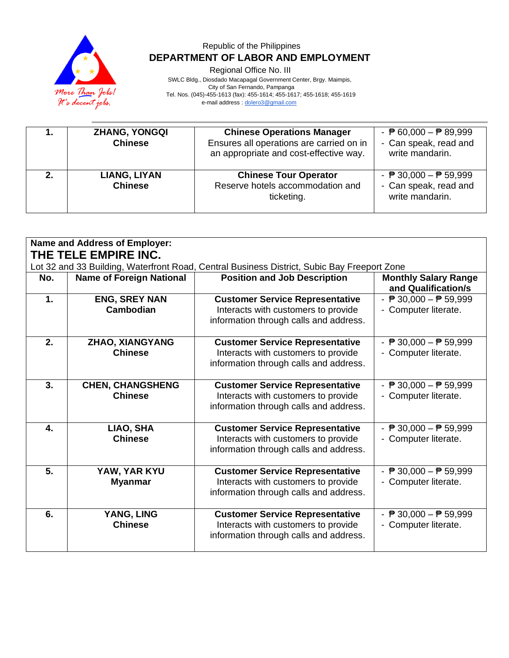

# Republic of the Philippines  **DEPARTMENT OF LABOR AND EMPLOYMENT**

Regional Office No. III

 SWLC Bldg., Diosdado Macapagal Government Center, Brgy. Maimpis, City of San Fernando, Pampanga Tel. Nos. (045)-455-1613 (fax): 455-1614; 455-1617; 455-1618; 455-1619 e-mail address [: dolero3@gmail.com](mailto:dolero3@gmail.com)

| <b>ZHANG, YONGQI</b><br><b>Chinese</b> | <b>Chinese Operations Manager</b><br>Ensures all operations are carried on in<br>an appropriate and cost-effective way. | - $\overline{P}$ 60,000 - $\overline{P}$ 89,999<br>- Can speak, read and<br>write mandarin. |
|----------------------------------------|-------------------------------------------------------------------------------------------------------------------------|---------------------------------------------------------------------------------------------|
| LIANG, LIYAN<br><b>Chinese</b>         | <b>Chinese Tour Operator</b><br>Reserve hotels accommodation and<br>ticketing.                                          | - $\overline{P}$ 30,000 - $\overline{P}$ 59,999<br>- Can speak, read and<br>write mandarin. |

| <b>Name and Address of Employer:</b><br>THE TELE EMPIRE INC. |                                           |                                                                                                                         |                                                                         |  |
|--------------------------------------------------------------|-------------------------------------------|-------------------------------------------------------------------------------------------------------------------------|-------------------------------------------------------------------------|--|
|                                                              |                                           | Lot 32 and 33 Building, Waterfront Road, Central Business District, Subic Bay Freeport Zone                             |                                                                         |  |
| No.                                                          | <b>Name of Foreign National</b>           | <b>Position and Job Description</b>                                                                                     | <b>Monthly Salary Range</b><br>and Qualification/s                      |  |
| 1.                                                           | <b>ENG, SREY NAN</b><br><b>Cambodian</b>  | <b>Customer Service Representative</b><br>Interacts with customers to provide<br>information through calls and address. | - $\overline{P}$ 30,000 - $\overline{P}$ 59,999<br>- Computer literate. |  |
| 2.                                                           | ZHAO, XIANGYANG<br><b>Chinese</b>         | <b>Customer Service Representative</b><br>Interacts with customers to provide<br>information through calls and address. | - $\overline{P}$ 30,000 - $\overline{P}$ 59,999<br>- Computer literate. |  |
| 3.                                                           | <b>CHEN, CHANGSHENG</b><br><b>Chinese</b> | <b>Customer Service Representative</b><br>Interacts with customers to provide<br>information through calls and address. | - $P$ 30,000 - $P$ 59,999<br>- Computer literate.                       |  |
| 4.                                                           | LIAO, SHA<br><b>Chinese</b>               | <b>Customer Service Representative</b><br>Interacts with customers to provide<br>information through calls and address. | - $\overline{P}$ 30,000 - $\overline{P}$ 59,999<br>- Computer literate. |  |
| 5.                                                           | YAW, YAR KYU<br><b>Myanmar</b>            | <b>Customer Service Representative</b><br>Interacts with customers to provide<br>information through calls and address. | - $\sqrt{P}$ 30,000 - $\sqrt{P}$ 59,999<br>- Computer literate.         |  |
| 6.                                                           | YANG, LING<br><b>Chinese</b>              | <b>Customer Service Representative</b><br>Interacts with customers to provide<br>information through calls and address. | - $\overline{P}$ 30,000 - $\overline{P}$ 59,999<br>- Computer literate. |  |